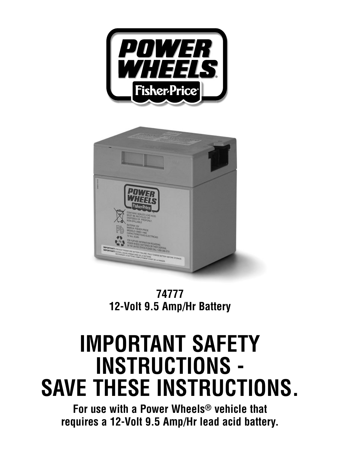



**74777 12-Volt 9.5 Amp/Hr Battery**

# **IMPORTANT SAFETY INSTRUCTIONS - SAVE THESE INSTRUCTIONS.**

**For use with a Power Wheels® vehicle that requires a 12-Volt 9.5 Amp/Hr lead acid battery.**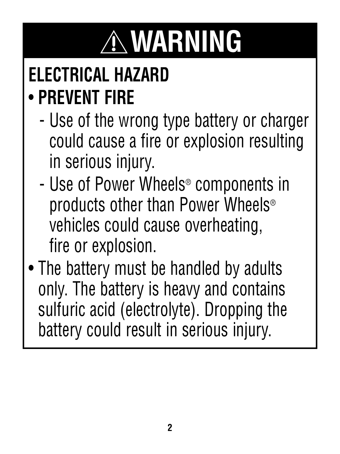# **WARNING**

### **ELECTRICAL HAZARD** • **PREVENT FIRE**

- Use of the wrong type battery or charger could cause a fire or explosion resulting in serious injury.
- Use of Power Wheels® components in products other than Power Wheels® vehicles could cause overheating, fire or explosion.
- The battery must be handled by adults only. The battery is heavy and contains sulfuric acid (electrolyte). Dropping the battery could result in serious injury.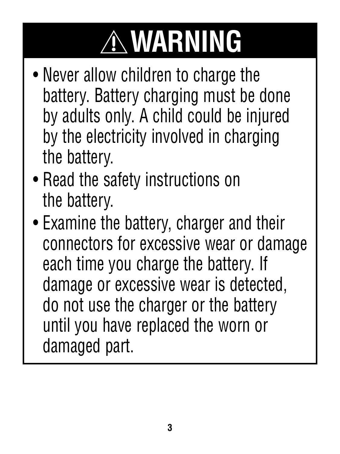# **WARNING**

- Never allow children to charge the battery. Battery charging must be done by adults only. A child could be injured by the electricity involved in charging the battery.
- Read the safety instructions on the battery.
- Examine the battery, charger and their connectors for excessive wear or damage each time you charge the battery. If damage or excessive wear is detected, do not use the charger or the battery until you have replaced the worn or damaged part.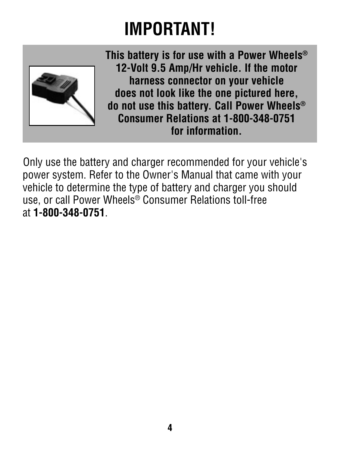### **IMPORTANT!**



**This battery is for use with a Power Wheels® 12-Volt 9.5 Amp/Hr vehicle. If the motor harness connector on your vehicle does not look like the one pictured here, do not use this battery. Call Power Wheels® Consumer Relations at 1-800-348-0751 for information.**

Only use the battery and charger recommended for your vehicle's power system. Refer to the Owner's Manual that came with your vehicle to determine the type of battery and charger you should use, or call Power Wheels® Consumer Relations toll-free at **1-800-348-0751**.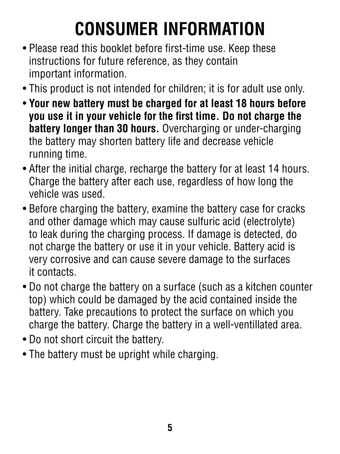# **CONSUMER INFORMATION**

- Please read this booklet before first-time use. Keep these instructions for future reference, as they contain important information.
- This product is not intended for children; it is for adult use only.
- **Your new battery must be charged for at least 18 hours before you use it in your vehicle for the first time. Do not charge the battery longer than 30 hours.** Overcharging or under-charging the battery may shorten battery life and decrease vehicle running time.
- After the initial charge, recharge the battery for at least 14 hours. Charge the battery after each use, regardless of how long the vehicle was used.
- Before charging the battery, examine the battery case for cracks and other damage which may cause sulfuric acid (electrolyte) to leak during the charging process. If damage is detected, do not charge the battery or use it in your vehicle. Battery acid is very corrosive and can cause severe damage to the surfaces it contacts.
- Do not charge the battery on a surface (such as a kitchen counter top) which could be damaged by the acid contained inside the battery. Take precautions to protect the surface on which you charge the battery. Charge the battery in a well-ventillated area.
- Do not short circuit the battery.
- The battery must be upright while charging.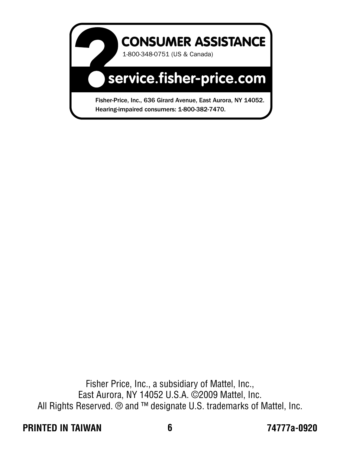

Fisher Price, Inc., a subsidiary of Mattel, Inc., East Aurora, NY 14052 U.S.A. ©2009 Mattel, Inc. All Rights Reserved. ® and ™ designate U.S. trademarks of Mattel, Inc.

#### **PRINTED IN TAIWAN 74777a-0920**

**6**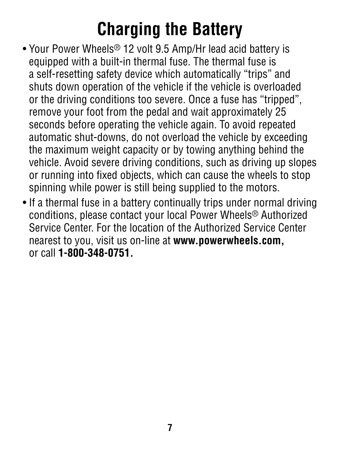#### **Charging the Battery**

- Your Power Wheels® 12 volt 9.5 Amp/Hr lead acid battery is equipped with a built-in thermal fuse. The thermal fuse is a self-resetting safety device which automatically "trips" and shuts down operation of the vehicle if the vehicle is overloaded or the driving conditions too severe. Once a fuse has "tripped", remove your foot from the pedal and wait approximately 25 seconds before operating the vehicle again. To avoid repeated automatic shut-downs, do not overload the vehicle by exceeding the maximum weight capacity or by towing anything behind the vehicle. Avoid severe driving conditions, such as driving up slopes or running into fixed objects, which can cause the wheels to stop spinning while power is still being supplied to the motors.
- If a thermal fuse in a battery continually trips under normal driving conditions, please contact your local Power Wheels® Authorized Service Center. For the location of the Authorized Service Center nearest to you, visit us on-line at **www.powerwheels.com,**  or call **1-800-348-0751.**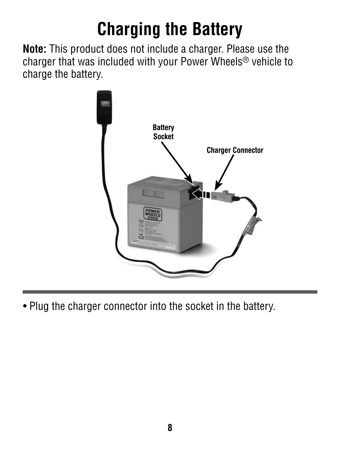## **Charging the Battery**

**Note:** This product does not include a charger. Please use the charger that was included with your Power Wheels® vehicle to charge the battery.



• Plug the charger connector into the socket in the battery.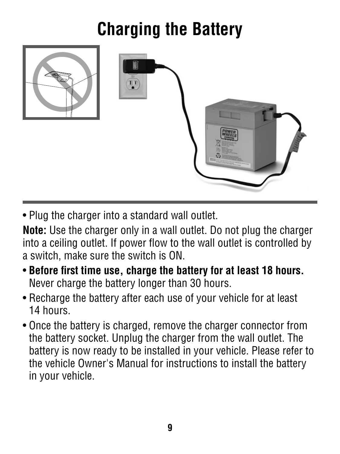## **Charging the Battery**



• Plug the charger into a standard wall outlet.

**Note:** Use the charger only in a wall outlet. Do not plug the charger into a ceiling outlet. If power flow to the wall outlet is controlled by a switch, make sure the switch is ON.

- Before first time use, charge the battery for at least 18 hours. Never charge the battery longer than 30 hours.
- Recharge the battery after each use of your vehicle for at least 14 hours.
- Once the battery is charged, remove the charger connector from the battery socket. Unplug the charger from the wall outlet. The battery is now ready to be installed in your vehicle. Please refer to the vehicle Owner's Manual for instructions to install the battery in your vehicle.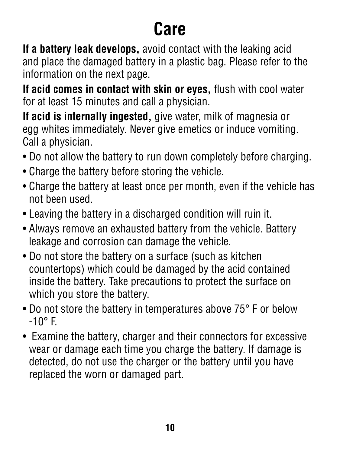#### **Care**

**If a battery leak develops,** avoid contact with the leaking acid and place the damaged battery in a plastic bag. Please refer to the information on the next page.

**If acid comes in contact with skin or eyes, flush with cool water** for at least 15 minutes and call a physician.

**If acid is internally ingested,** give water, milk of magnesia or egg whites immediately. Never give emetics or induce vomiting. Call a physician.

- Do not allow the battery to run down completely before charging.
- Charge the battery before storing the vehicle.
- Charge the battery at least once per month, even if the vehicle has not been used.
- Leaving the battery in a discharged condition will ruin it.
- Always remove an exhausted battery from the vehicle. Battery leakage and corrosion can damage the vehicle.
- Do not store the battery on a surface (such as kitchen countertops) which could be damaged by the acid contained inside the battery. Take precautions to protect the surface on which you store the battery.
- Do not store the battery in temperatures above 75° F or below -10° F.
- Examine the battery, charger and their connectors for excessive wear or damage each time you charge the battery. If damage is detected, do not use the charger or the battery until you have replaced the worn or damaged part.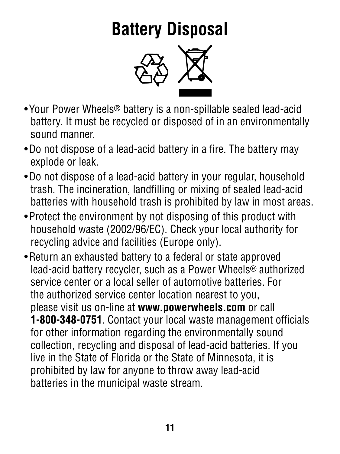#### **Battery Disposal**



- Your Power Wheels® battery is a non-spillable sealed lead-acid battery. It must be recycled or disposed of in an environmentally sound manner.
- Do not dispose of a lead-acid battery in a fire. The battery may explode or leak.
- Do not dispose of a lead-acid battery in your regular, household trash. The incineration, landfilling or mixing of sealed lead-acid batteries with household trash is prohibited by law in most areas.
- Protect the environment by not disposing of this product with household waste (2002/96/EC). Check your local authority for recycling advice and facilities (Europe only).
- Return an exhausted battery to a federal or state approved lead-acid battery recycler, such as a Power Wheels® authorized service center or a local seller of automotive batteries. For the authorized service center location nearest to you, please visit us on-line at **www.powerwheels.com** or call **1-800-348-0751**. Contact your local waste management officials for other information regarding the environmentally sound collection, recycling and disposal of lead-acid batteries. If you live in the State of Florida or the State of Minnesota, it is prohibited by law for anyone to throw away lead-acid batteries in the municipal waste stream.